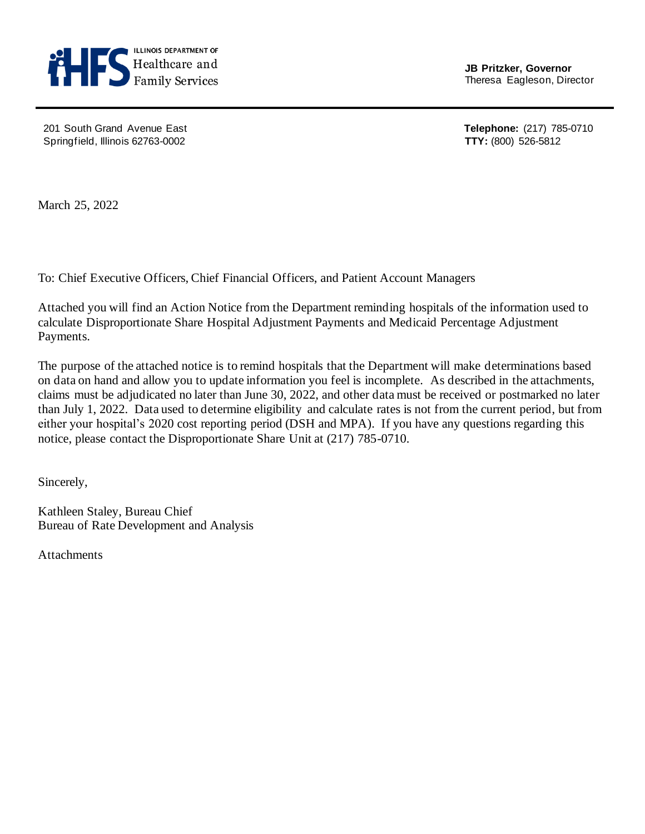

**JB Pritzker, Governor**

 201 South Grand Avenue East **Telephone:** (217) 785-0710 Springfield, Illinois 62763-0002 **TTY:** (800) 526-5812

March 25, 2022

To: Chief Executive Officers, Chief Financial Officers, and Patient Account Managers

Attached you will find an Action Notice from the Department reminding hospitals of the information used to calculate Disproportionate Share Hospital Adjustment Payments and Medicaid Percentage Adjustment Payments.

The purpose of the attached notice is to remind hospitals that the Department will make determinations based on data on hand and allow you to update information you feel is incomplete. As described in the attachments, claims must be adjudicated no later than June 30, 2022, and other data must be received or postmarked no later than July 1, 2022. Data used to determine eligibility and calculate rates is not from the current period, but from either your hospital's 2020 cost reporting period (DSH and MPA). If you have any questions regarding this notice, please contact the Disproportionate Share Unit at (217) 785-0710.

Sincerely,

Kathleen Staley, Bureau Chief Bureau of Rate Development and Analysis

**Attachments**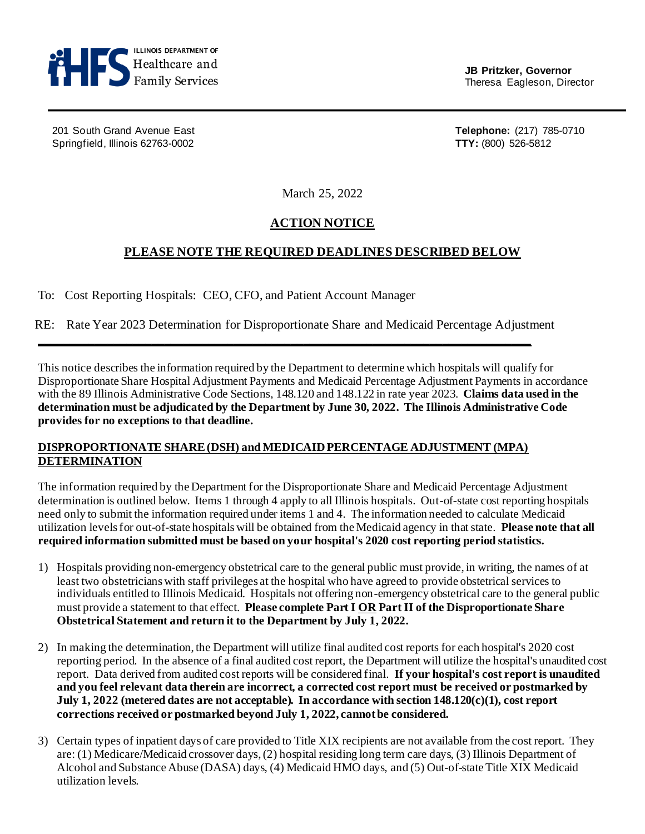

**JB Pritzker, Governor**

201 South Grand Avenue East **Telephone:** (217) 785-0710 Springfield, Illinois 62763-0002 **TTY:** (800) 526-5812

March 25, 2022

# **ACTION NOTICE**

## **PLEASE NOTE THE REQUIRED DEADLINES DESCRIBED BELOW**

To: Cost Reporting Hospitals: CEO, CFO, and Patient Account Manager

RE: Rate Year 2023 Determination for Disproportionate Share and Medicaid Percentage Adjustment

**\_\_\_\_\_\_\_\_\_\_\_\_\_\_\_\_\_\_\_\_\_\_\_\_\_\_\_\_\_\_\_\_\_\_\_\_\_\_\_\_\_\_\_\_\_\_\_\_\_\_\_\_\_\_\_\_\_\_\_\_\_\_\_\_\_\_\_\_\_\_\_\_\_\_\_\_\_\_** 

This notice describes the information required by the Department to determine which hospitals will qualify for Disproportionate Share Hospital Adjustment Payments and Medicaid Percentage Adjustment Payments in accordance with the 89 Illinois Administrative Code Sections, 148.120 and 148.122 in rate year 2023. **Claims data used in the determination must be adjudicated by the Department by June 30, 2022. The Illinois Administrative Code provides for no exceptions to that deadline.**

### **DISPROPORTIONATE SHARE (DSH) and MEDICAID PERCENTAGE ADJUSTMENT (MPA) DETERMINATION**

The information required by the Department for the Disproportionate Share and Medicaid Percentage Adjustment determination is outlined below. Items 1 through 4 apply to all Illinois hospitals. Out-of-state cost reporting hospitals need only to submit the information required under items 1 and 4. The information needed to calculate Medicaid utilization levels for out-of-state hospitals will be obtained from the Medicaid agency in that state. **Please note that all required information submitted must be based on your hospital's 2020 cost reporting period statistics.**

- 1) Hospitals providing non-emergency obstetrical care to the general public must provide, in writing, the names of at least two obstetricians with staff privileges at the hospital who have agreed to provide obstetrical services to individuals entitled to Illinois Medicaid. Hospitals not offering non-emergency obstetrical care to the general public must provide a statement to that effect. **Please complete Part I OR Part II of the Disproportionate Share Obstetrical Statement and return it to the Department by July 1, 2022.**
- 2) In making the determination, the Department will utilize final audited cost reports for each hospital's 2020 cost reporting period. In the absence of a final audited cost report, the Department will utilize the hospital's unaudited cost report. Data derived from audited cost reports will be considered final. **If your hospital's cost report is unaudited and you feel relevant data therein are incorrect, a corrected cost report must be received or postmarked by July 1, 2022 (metered dates are not acceptable). In accordance with section 148.120(c)(1), cost report corrections received or postmarked beyond July 1, 2022, cannot be considered.**
- 3) Certain types of inpatient days of care provided to Title XIX recipients are not available from the cost report. They are: (1) Medicare/Medicaid crossover days, (2) hospital residing long term care days, (3) Illinois Department of Alcohol and Substance Abuse (DASA) days, (4) Medicaid HMO days, and (5) Out-of-state Title XIX Medicaid utilization levels.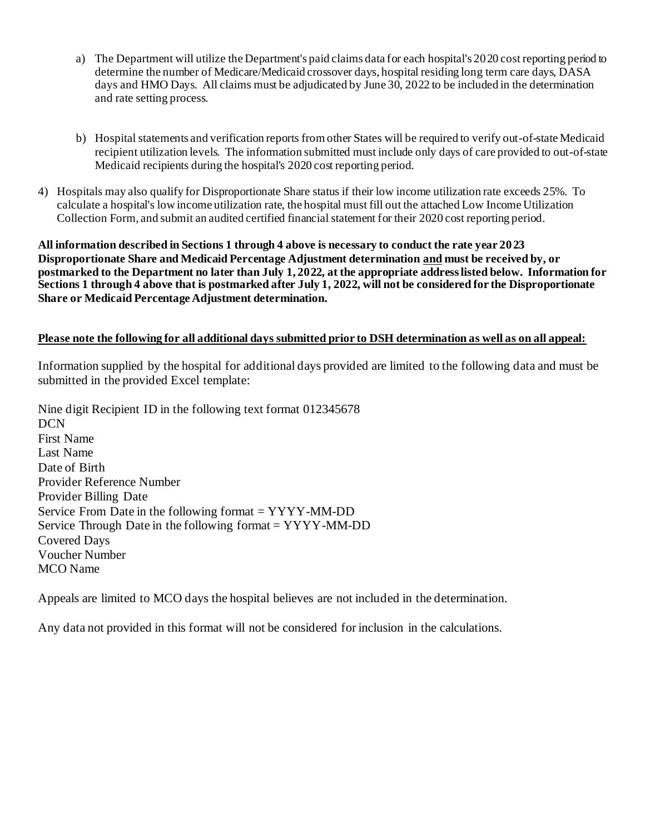- a) The Department will utilize the Department's paid claims data for each hospital's 2020 cost reporting period to determine the number of Medicare/Medicaid crossover days, hospital residing long term care days, DASA days and HMO Days. All claims must be adjudicated by June 30, 2022 to be included in the determination and rate setting process.
- b) Hospital statements and verification reports from other States will be required to verify out-of-state Medicaid recipient utilization levels. The information submitted must include only days of care provided to out-of-state Medicaid recipients during the hospital's 2020 cost reporting period.
- 4) Hospitals may also qualify for Disproportionate Share status if their low income utilization rate exceeds 25%. To calculate a hospital's low income utilization rate, the hospital must fill out the attached Low Income Utilization Collection Form, and submit an audited certified financial statement for their 2020 cost reporting period.

**All information described in Sections 1 through 4 above is necessary to conduct the rate year 2023 Disproportionate Share and Medicaid Percentage Adjustment determination and must be received by, or postmarked to the Department no later than July 1, 2022, at the appropriate address listed below. Information for Sections 1 through 4 above that is postmarked after July 1, 2022, will not be considered for the Disproportionate Share or Medicaid Percentage Adjustment determination.**

### **Please note the following for all additional days submitted prior to DSH determination as well as on all appeal:**

Information supplied by the hospital for additional days provided are limited to the following data and must be submitted in the provided Excel template:

Nine digit Recipient ID in the following text format 012345678 DCN First Name Last Name Date of Birth Provider Reference Number Provider Billing Date Service From Date in the following format = YYYY-MM-DD Service Through Date in the following format = YYYY-MM-DD Covered Days Voucher Number MCO Name

Appeals are limited to MCO days the hospital believes are not included in the determination.

Any data not provided in this format will not be considered for inclusion in the calculations.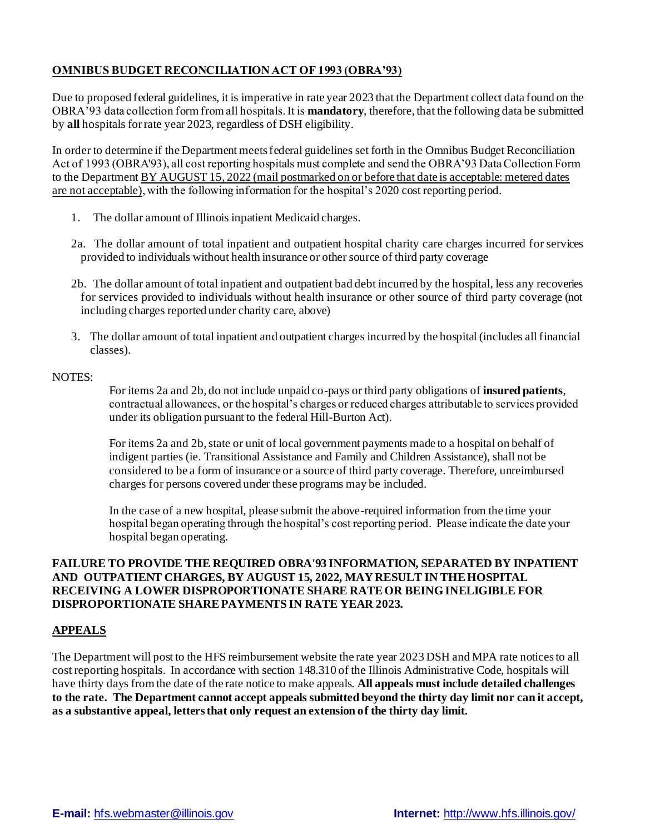## **OMNIBUS BUDGET RECONCILIATION ACT OF 1993 (OBRA'93)**

Due to proposed federal guidelines, it is imperative in rate year 2023 that the Department collect data found on the OBRA'93 data collection form from all hospitals. It is **mandatory**, therefore, that the following data be submitted by **all** hospitals for rate year 2023, regardless of DSH eligibility.

In order to determine if the Department meets federal guidelines set forth in the Omnibus Budget Reconciliation Act of 1993 (OBRA'93), all cost reporting hospitals must complete and send the OBRA'93 Data Collection Form to the Department BY AUGUST 15, 2022 (mail postmarked on or before that date is acceptable: metered dates are not acceptable), with the following information for the hospital's 2020 cost reporting period.

- 1. The dollar amount of Illinois inpatient Medicaid charges.
- 2a. The dollar amount of total inpatient and outpatient hospital charity care charges incurred for services provided to individuals without health insurance or other source of third party coverage
- 2b. The dollar amount of total inpatient and outpatient bad debt incurred by the hospital, less any recoveries for services provided to individuals without health insurance or other source of third party coverage (not including charges reported under charity care, above)
- 3. The dollar amount of total inpatient and outpatient charges incurred by the hospital (includes all financial classes).

#### NOTES:

For items 2a and 2b, do not include unpaid co-pays or third party obligations of **insured patients**, contractual allowances, or the hospital's charges or reduced charges attributable to services provided under its obligation pursuant to the federal Hill-Burton Act).

For items 2a and 2b, state or unit of local government payments made to a hospital on behalf of indigent parties (ie. Transitional Assistance and Family and Children Assistance), shall not be considered to be a form of insurance or a source of third party coverage. Therefore, unreimbursed charges for persons covered under these programs may be included.

In the case of a new hospital, please submit the above-required information from the time your hospital began operating through the hospital's cost reporting period. Please indicate the date your hospital began operating.

### **FAILURE TO PROVIDE THE REQUIRED OBRA'93 INFORMATION, SEPARATED BY INPATIENT AND OUTPATIENT CHARGES, BY AUGUST 15, 2022, MAY RESULT IN THE HOSPITAL RECEIVING A LOWER DISPROPORTIONATE SHARE RATE OR BEING INELIGIBLE FOR DISPROPORTIONATE SHARE PAYMENTS IN RATE YEAR 2023.**

#### **APPEALS**

The Department will post to the HFS reimbursement website the rate year 2023 DSH and MPA rate notices to all cost reporting hospitals. In accordance with section 148.310 of the Illinois Administrative Code, hospitals will have thirty days from the date of the rate notice to make appeals. **All appeals must include detailed challenges to the rate. The Department cannot accept appeals submitted beyond the thirty day limit nor can it accept, as a substantive appeal, letters that only request an extension of the thirty day limit.**